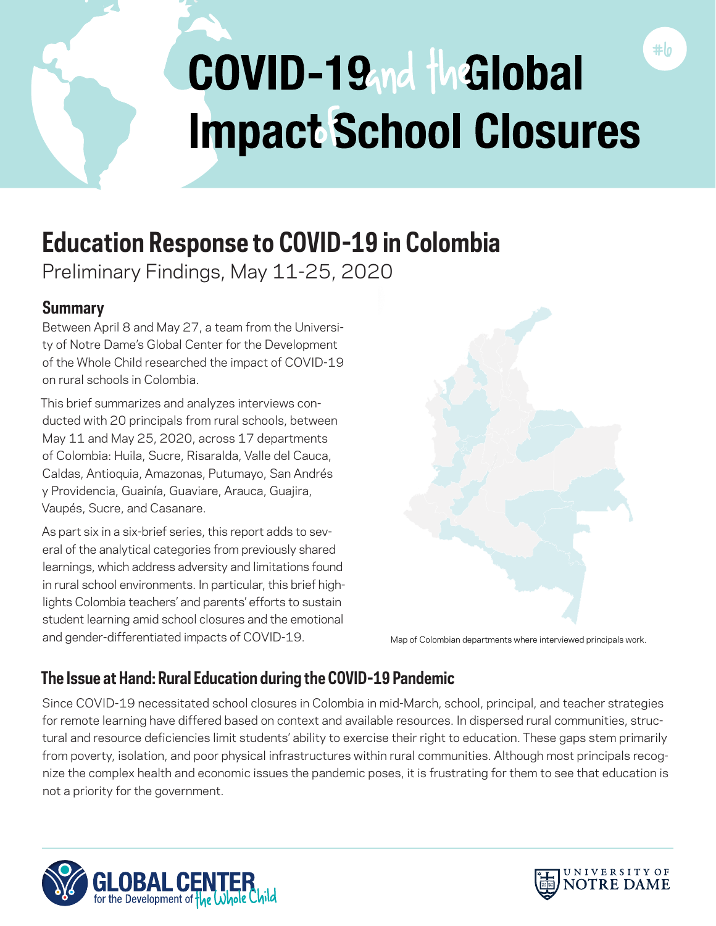

# **Education Response to COVID-19 in Colombia**

Preliminary Findings, May 11-25, 2020

# **Summary**

Between April 8 and May 27, a team from the University of Notre Dame's Global Center for the Development of the Whole Child researched the impact of COVID-19 on rural schools in Colombia.

This brief summarizes and analyzes interviews conducted with 20 principals from rural schools, between May 11 and May 25, 2020, across 17 departments of Colombia: Huila, Sucre, Risaralda, Valle del Cauca, Caldas, Antioquia, Amazonas, Putumayo, San Andrés y Providencia, Guainía, Guaviare, Arauca, Guajira, Vaupés, Sucre, and Casanare.

As part six in a six-brief series, this report adds to several of the analytical categories from previously shared learnings, which address adversity and limitations found in rural school environments. In particular, this brief highlights Colombia teachers' and parents' efforts to sustain student learning amid school closures and the emotional and gender-differentiated impacts of COVID-19.



Map of Colombian departments where interviewed principals work.

# **The Issue at Hand: Rural Education during the COVID-19 Pandemic**

Since COVID-19 necessitated school closures in Colombia in mid-March, school, principal, and teacher strategies for remote learning have differed based on context and available resources. In dispersed rural communities, structural and resource deficiencies limit students' ability to exercise their right to education. These gaps stem primarily from poverty, isolation, and poor physical infrastructures within rural communities. Although most principals recognize the complex health and economic issues the pandemic poses, it is frustrating for them to see that education is not a priority for the government.



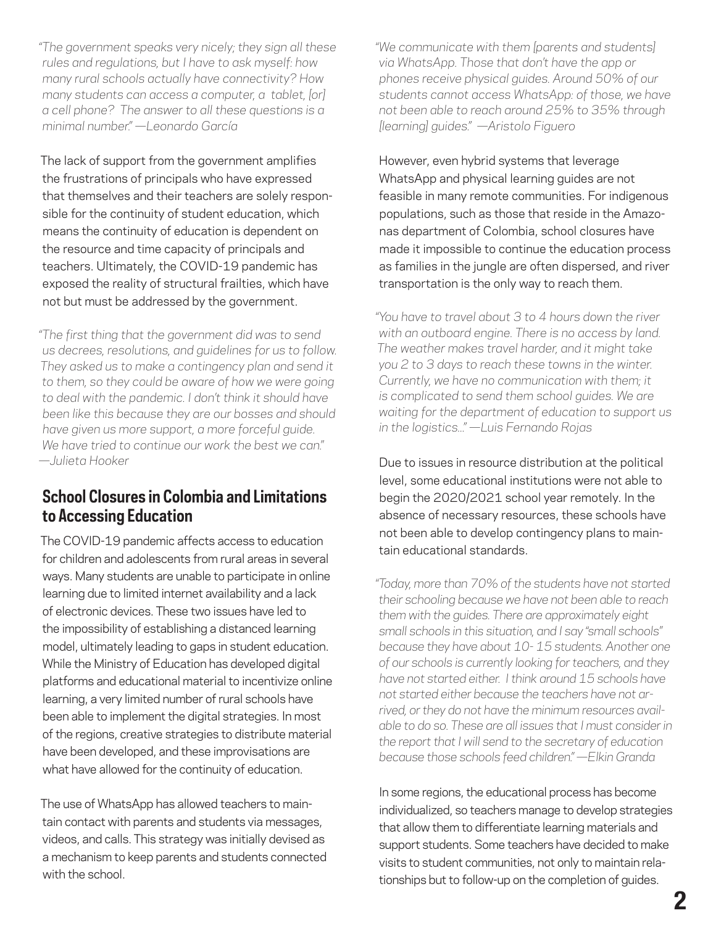*"The government speaks very nicely; they sign all these rules and regulations, but I have to ask myself: how many rural schools actually have connectivity? How many students can access a computer, a tablet, [or] a cell phone? The answer to all these questions is a minimal number." —Leonardo García* 

The lack of support from the government amplifies the frustrations of principals who have expressed that themselves and their teachers are solely responsible for the continuity of student education, which means the continuity of education is dependent on the resource and time capacity of principals and teachers. Ultimately, the COVID-19 pandemic has exposed the reality of structural frailties, which have not but must be addressed by the government.

*"The first thing that the government did was to send us decrees, resolutions, and guidelines for us to follow. They asked us to make a contingency plan and send it to them, so they could be aware of how we were going to deal with the pandemic. I don't think it should have been like this because they are our bosses and should have given us more support, a more forceful guide. We have tried to continue our work the best we can." —Julieta Hooker*

# **School Closures in Colombia and Limitations to Accessing Education**

The COVID-19 pandemic affects access to education for children and adolescents from rural areas in several ways. Many students are unable to participate in online learning due to limited internet availability and a lack of electronic devices. These two issues have led to the impossibility of establishing a distanced learning model, ultimately leading to gaps in student education. While the Ministry of Education has developed digital platforms and educational material to incentivize online learning, a very limited number of rural schools have been able to implement the digital strategies. In most of the regions, creative strategies to distribute material have been developed, and these improvisations are what have allowed for the continuity of education.

The use of WhatsApp has allowed teachers to maintain contact with parents and students via messages, videos, and calls. This strategy was initially devised as a mechanism to keep parents and students connected with the school.

*"We communicate with them [parents and students] via WhatsApp. Those that don't have the app or phones receive physical guides. Around 50% of our students cannot access WhatsApp: of those, we have not been able to reach around 25% to 35% through [learning] guides." —Aristolo Figuero*

However, even hybrid systems that leverage WhatsApp and physical learning guides are not feasible in many remote communities. For indigenous populations, such as those that reside in the Amazonas department of Colombia, school closures have made it impossible to continue the education process as families in the jungle are often dispersed, and river transportation is the only way to reach them.

*"You have to travel about 3 to 4 hours down the river with an outboard engine. There is no access by land. The weather makes travel harder, and it might take you 2 to 3 days to reach these towns in the winter. Currently, we have no communication with them; it is complicated to send them school guides. We are waiting for the department of education to support us in the logistics..." —Luis Fernando Rojas*

Due to issues in resource distribution at the political level, some educational institutions were not able to begin the 2020/2021 school year remotely. In the absence of necessary resources, these schools have not been able to develop contingency plans to maintain educational standards.

*"Today, more than 70% of the students have not started their schooling because we have not been able to reach them with the guides. There are approximately eight small schools in this situation, and I say "small schools" because they have about 10- 15 students. Another one of our schools is currently looking for teachers, and they have not started either. I think around 15 schools have not started either because the teachers have not arrived, or they do not have the minimum resources available to do so. These are all issues that I must consider in the report that I will send to the secretary of education because those schools feed children." —Elkin Granda*

In some regions, the educational process has become individualized, so teachers manage to develop strategies that allow them to differentiate learning materials and support students. Some teachers have decided to make visits to student communities, not only to maintain relationships but to follow-up on the completion of guides.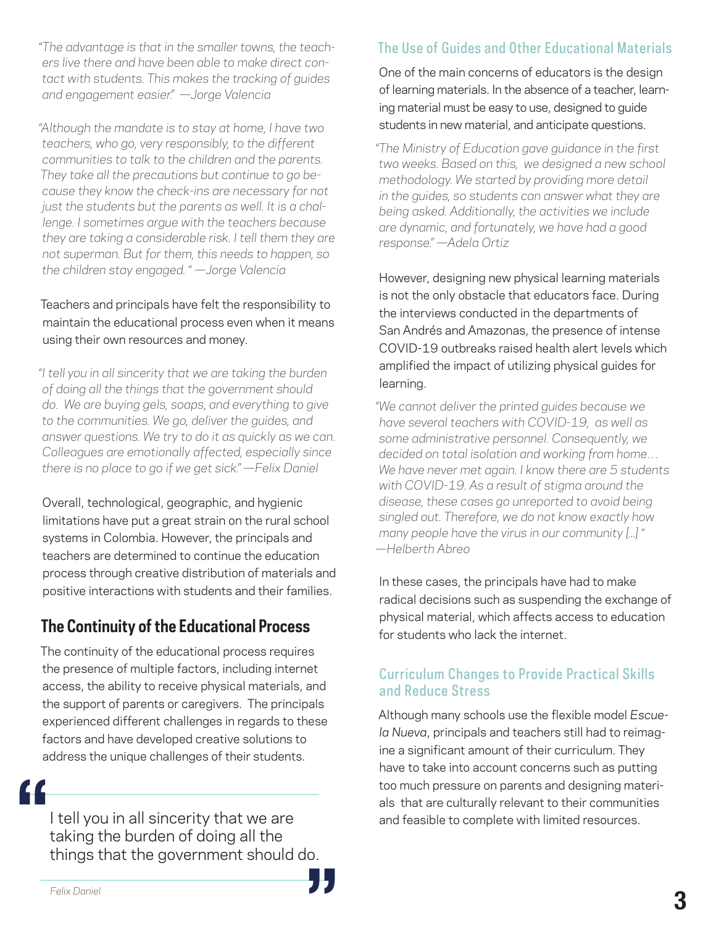*"The advantage is that in the smaller towns, the teachers live there and have been able to make direct contact with students. This makes the tracking of guides and engagement easier." —Jorge Valencia*

*"Although the mandate is to stay at home, I have two teachers, who go, very responsibly, to the different communities to talk to the children and the parents. They take all the precautions but continue to go because they know the check-ins are necessary for not just the students but the parents as well. It is a challenge. I sometimes argue with the teachers because they are taking a considerable risk. I tell them they are not superman. But for them, this needs to happen, so the children stay engaged. " —Jorge Valencia*

### Teachers and principals have felt the responsibility to maintain the educational process even when it means using their own resources and money.

*"I tell you in all sincerity that we are taking the burden of doing all the things that the government should do. We are buying gels, soaps, and everything to give to the communities. We go, deliver the guides, and answer questions. We try to do it as quickly as we can. Colleagues are emotionally affected, especially since there is no place to go if we get sick." —Felix Daniel*

Overall, technological, geographic, and hygienic limitations have put a great strain on the rural school systems in Colombia. However, the principals and teachers are determined to continue the education process through creative distribution of materials and positive interactions with students and their families.

# **The Continuity of the Educational Process**

The continuity of the educational process requires the presence of multiple factors, including internet access, the ability to receive physical materials, and the support of parents or caregivers. The principals experienced different challenges in regards to these factors and have developed creative solutions to address the unique challenges of their students.

I tell you in all sincerity that we are taking the burden of doing all the things that the government should do. **"** 。<br>"

# The Use of Guides and Other Educational Materials

One of the main concerns of educators is the design of learning materials. In the absence of a teacher, learning material must be easy to use, designed to guide students in new material, and anticipate questions.

*"The Ministry of Education gave guidance in the first two weeks. Based on this, we designed a new school methodology. We started by providing more detail in the guides, so students can answer what they are being asked. Additionally, the activities we include are dynamic, and fortunately, we have had a good response." —Adela Ortiz*

However, designing new physical learning materials is not the only obstacle that educators face. During the interviews conducted in the departments of San Andrés and Amazonas, the presence of intense COVID-19 outbreaks raised health alert levels which amplified the impact of utilizing physical guides for learning.

*"We cannot deliver the printed guides because we have several teachers with COVID-19, as well as some administrative personnel. Consequently, we decided on total isolation and working from home… We have never met again. I know there are 5 students with COVID-19. As a result of stigma around the disease, these cases go unreported to avoid being singled out. Therefore, we do not know exactly how many people have the virus in our community [...] " —Helberth Abreo* 

In these cases, the principals have had to make radical decisions such as suspending the exchange of physical material, which affects access to education for students who lack the internet.

### Curriculum Changes to Provide Practical Skills and Reduce Stress

Although many schools use the flexible model *Escuela Nueva*, principals and teachers still had to reimagine a significant amount of their curriculum. They have to take into account concerns such as putting too much pressure on parents and designing materials that are culturally relevant to their communities and feasible to complete with limited resources.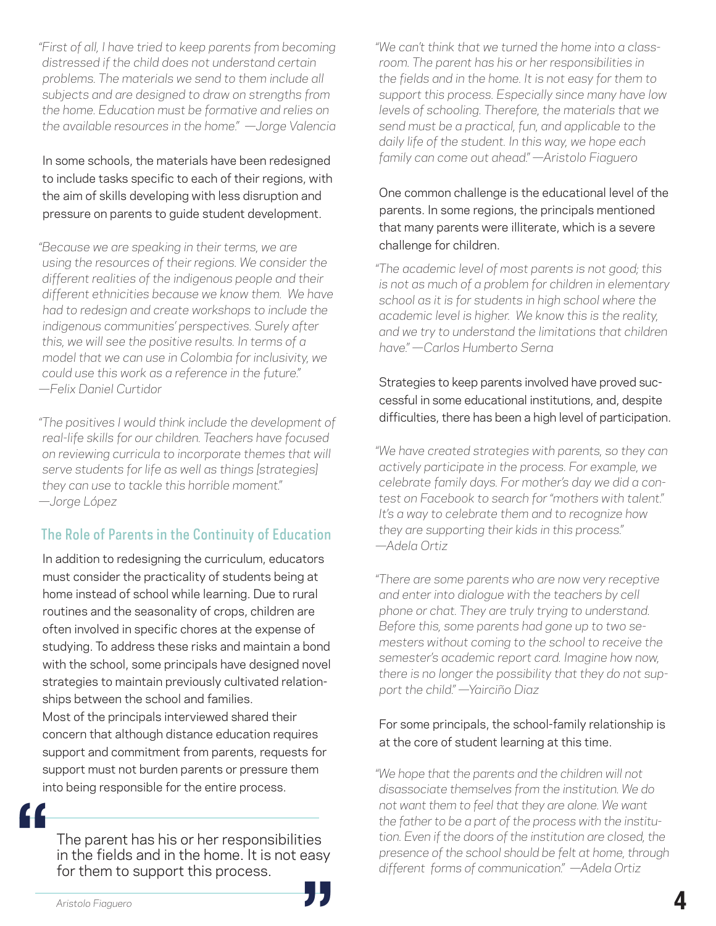*"First of all, I have tried to keep parents from becoming distressed if the child does not understand certain problems. The materials we send to them include all subjects and are designed to draw on strengths from the home. Education must be formative and relies on the available resources in the home." —Jorge Valencia*

In some schools, the materials have been redesigned to include tasks specific to each of their regions, with the aim of skills developing with less disruption and pressure on parents to guide student development.

*"Because we are speaking in their terms, we are using the resources of their regions. We consider the different realities of the indigenous people and their different ethnicities because we know them. We have had to redesign and create workshops to include the indigenous communities' perspectives. Surely after this, we will see the positive results. In terms of a model that we can use in Colombia for inclusivity, we could use this work as a reference in the future." —Felix Daniel Curtidor*

*"The positives I would think include the development of real-life skills for our children. Teachers have focused on reviewing curricula to incorporate themes that will serve students for life as well as things [strategies] they can use to tackle this horrible moment." —Jorge López*

# The Role of Parents in the Continuity of Education

In addition to redesigning the curriculum, educators must consider the practicality of students being at home instead of school while learning. Due to rural routines and the seasonality of crops, children are often involved in specific chores at the expense of studying. To address these risks and maintain a bond with the school, some principals have designed novel strategies to maintain previously cultivated relationships between the school and families.

Most of the principals interviewed shared their concern that although distance education requires support and commitment from parents, requests for support must not burden parents or pressure them into being responsible for the entire process.

**"**

The parent has his or her responsibilities in the fields and in the home. It is not easy<br>for them to support this process.<br>Aristolo Fiaguero for them to support this process.

*"We can't think that we turned the home into a classroom. The parent has his or her responsibilities in the fields and in the home. It is not easy for them to support this process. Especially since many have low levels of schooling. Therefore, the materials that we send must be a practical, fun, and applicable to the daily life of the student. In this way, we hope each family can come out ahead." —Aristolo Fiaguero*

One common challenge is the educational level of the parents. In some regions, the principals mentioned that many parents were illiterate, which is a severe challenge for children.

*"The academic level of most parents is not good; this is not as much of a problem for children in elementary school as it is for students in high school where the academic level is higher. We know this is the reality, and we try to understand the limitations that children have." —Carlos Humberto Serna*

### Strategies to keep parents involved have proved successful in some educational institutions, and, despite difficulties, there has been a high level of participation.

*"We have created strategies with parents, so they can actively participate in the process. For example, we celebrate family days. For mother's day we did a contest on Facebook to search for "mothers with talent." It's a way to celebrate them and to recognize how they are supporting their kids in this process." —Adela Ortiz*

*"There are some parents who are now very receptive and enter into dialogue with the teachers by cell phone or chat. They are truly trying to understand. Before this, some parents had gone up to two semesters without coming to the school to receive the semester's academic report card. Imagine how now, there is no longer the possibility that they do not support the child." —Yairciño Diaz*

### For some principals, the school-family relationship is at the core of student learning at this time.

*"We hope that the parents and the children will not disassociate themselves from the institution. We do not want them to feel that they are alone. We want the father to be a part of the process with the institution. Even if the doors of the institution are closed, the presence of the school should be felt at home, through different forms of communication." —Adela Ortiz*

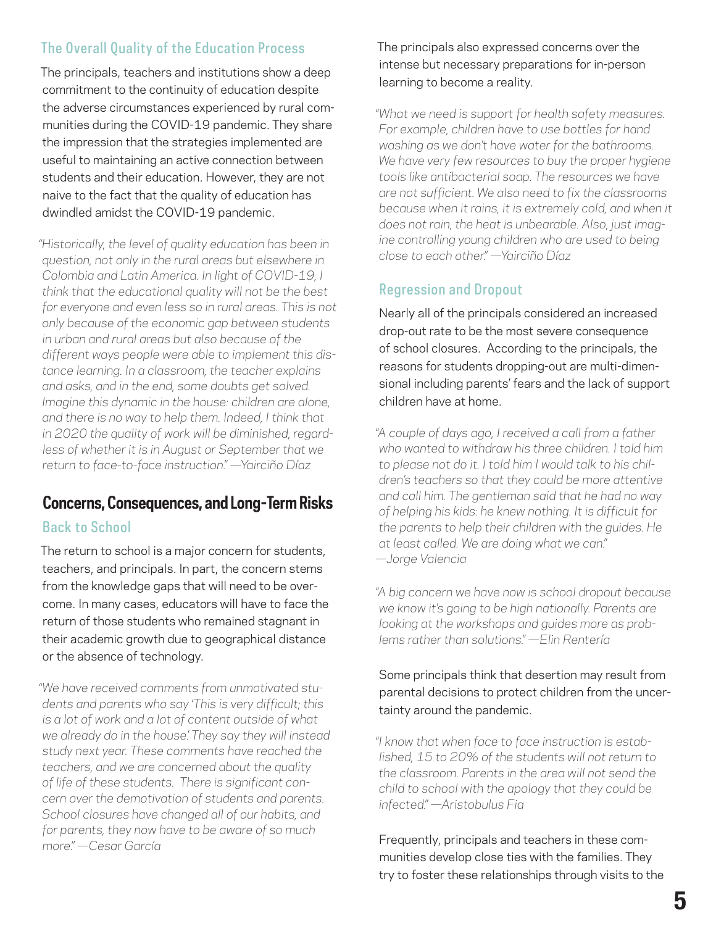### The Overall Quality of the Education Process

The principals, teachers and institutions show a deep commitment to the continuity of education despite the adverse circumstances experienced by rural communities during the COVID-19 pandemic. They share the impression that the strategies implemented are useful to maintaining an active connection between students and their education. However, they are not naive to the fact that the quality of education has dwindled amidst the COVID-19 pandemic.

*"Historically, the level of quality education has been in question, not only in the rural areas but elsewhere in Colombia and Latin America. In light of COVID-19, I think that the educational quality will not be the best for everyone and even less so in rural areas. This is not only because of the economic gap between students in urban and rural areas but also because of the different ways people were able to implement this distance learning. In a classroom, the teacher explains and asks, and in the end, some doubts get solved. Imagine this dynamic in the house: children are alone, and there is no way to help them. Indeed, I think that in 2020 the quality of work will be diminished, regardless of whether it is in August or September that we return to face-to-face instruction." —Yairciño Díaz*

# **Concerns, Consequences, and Long-Term Risks**

### Back to School

The return to school is a major concern for students, teachers, and principals. In part, the concern stems from the knowledge gaps that will need to be overcome. In many cases, educators will have to face the return of those students who remained stagnant in their academic growth due to geographical distance or the absence of technology.

*"We have received comments from unmotivated students and parents who say 'This is very difficult; this is a lot of work and a lot of content outside of what we already do in the house.' They say they will instead study next year. These comments have reached the teachers, and we are concerned about the quality of life of these students. There is significant concern over the demotivation of students and parents. School closures have changed all of our habits, and for parents, they now have to be aware of so much more." —Cesar García*

The principals also expressed concerns over the intense but necessary preparations for in-person learning to become a reality.

*"What we need is support for health safety measures. For example, children have to use bottles for hand washing as we don't have water for the bathrooms. We have very few resources to buy the proper hygiene tools like antibacterial soap. The resources we have are not sufficient. We also need to fix the classrooms because when it rains, it is extremely cold, and when it does not rain, the heat is unbearable. Also, just imagine controlling young children who are used to being close to each other." —Yairciño Díaz*

### Regression and Dropout

Nearly all of the principals considered an increased drop-out rate to be the most severe consequence of school closures. According to the principals, the reasons for students dropping-out are multi-dimensional including parents' fears and the lack of support children have at home.

*"A couple of days ago, I received a call from a father who wanted to withdraw his three children. I told him to please not do it. I told him I would talk to his children's teachers so that they could be more attentive and call him. The gentleman said that he had no way of helping his kids: he knew nothing. It is difficult for the parents to help their children with the guides. He at least called. We are doing what we can." —Jorge Valencia*

*"A big concern we have now is school dropout because we know it's going to be high nationally. Parents are looking at the workshops and guides more as problems rather than solutions." —Elin Rentería*

### Some principals think that desertion may result from parental decisions to protect children from the uncertainty around the pandemic.

*"I know that when face to face instruction is established, 15 to 20% of the students will not return to the classroom. Parents in the area will not send the child to school with the apology that they could be infected." —Aristobulus Fia*

Frequently, principals and teachers in these communities develop close ties with the families. They try to foster these relationships through visits to the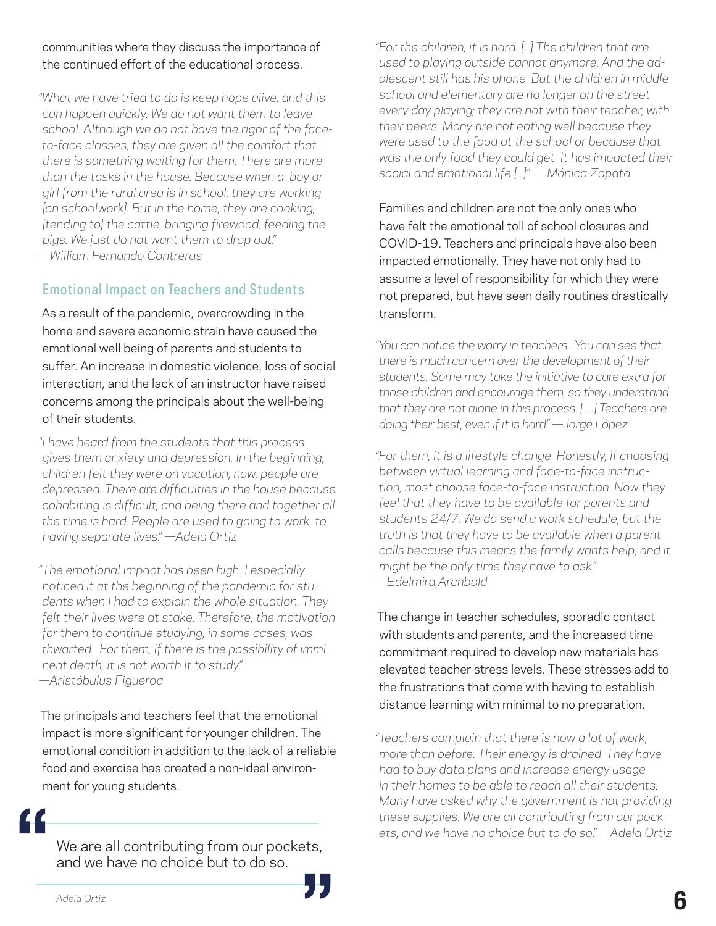#### communities where they discuss the importance of the continued effort of the educational process.

*"What we have tried to do is keep hope alive, and this can happen quickly. We do not want them to leave school. Although we do not have the rigor of the faceto-face classes, they are given all the comfort that there is something waiting for them. There are more than the tasks in the house. Because when a boy or girl from the rural area is in school, they are working [on schoolwork]. But in the home, they are cooking, [tending to] the cattle, bringing firewood, feeding the pigs. We just do not want them to drop out." —William Fernando Contreras*

### Emotional Impact on Teachers and Students

As a result of the pandemic, overcrowding in the home and severe economic strain have caused the emotional well being of parents and students to suffer. An increase in domestic violence, loss of social interaction, and the lack of an instructor have raised concerns among the principals about the well-being of their students.

*"I have heard from the students that this process gives them anxiety and depression. In the beginning, children felt they were on vacation; now, people are depressed. There are difficulties in the house because cohabiting is difficult, and being there and together all the time is hard. People are used to going to work, to having separate lives." —Adela Ortiz*

*"The emotional impact has been high. I especially noticed it at the beginning of the pandemic for students when I had to explain the whole situation. They felt their lives were at stake. Therefore, the motivation for them to continue studying, in some cases, was thwarted. For them, if there is the possibility of imminent death, it is not worth it to study." —Aristóbulus Figueroa*

The principals and teachers feel that the emotional impact is more significant for younger children. The emotional condition in addition to the lack of a reliable food and exercise has created a non-ideal environment for young students.

**"**

We are all contributing from our pockets, and we have no choice but to do so. **The areall contributing from our pockets,<br>and we have no choice but to do so.<br>Adela Ortiz**  *"For the children, it is hard. [...] The children that are used to playing outside cannot anymore. And the adolescent still has his phone. But the children in middle school and elementary are no longer on the street every day playing; they are not with their teacher, with their peers. Many are not eating well because they were used to the food at the school or because that was the only food they could get. It has impacted their social and emotional life [...]" —Mónica Zapata*

Families and children are not the only ones who have felt the emotional toll of school closures and COVID-19. Teachers and principals have also been impacted emotionally. They have not only had to assume a level of responsibility for which they were not prepared, but have seen daily routines drastically transform.

*"You can notice the worry in teachers. You can see that there is much concern over the development of their students. Some may take the initiative to care extra for those children and encourage them, so they understand that they are not alone in this process. […] Teachers are doing their best, even if it is hard." —Jorge López*

*"For them, it is a lifestyle change. Honestly, if choosing between virtual learning and face-to-face instruction, most choose face-to-face instruction. Now they feel that they have to be available for parents and students 24/7. We do send a work schedule, but the truth is that they have to be available when a parent calls because this means the family wants help, and it might be the only time they have to ask." —Edelmira Archbold*

The change in teacher schedules, sporadic contact with students and parents, and the increased time commitment required to develop new materials has elevated teacher stress levels. These stresses add to the frustrations that come with having to establish distance learning with minimal to no preparation.

*"Teachers complain that there is now a lot of work, more than before. Their energy is drained. They have had to buy data plans and increase energy usage in their homes to be able to reach all their students. Many have asked why the government is not providing these supplies. We are all contributing from our pockets, and we have no choice but to do so." —Adela Ortiz*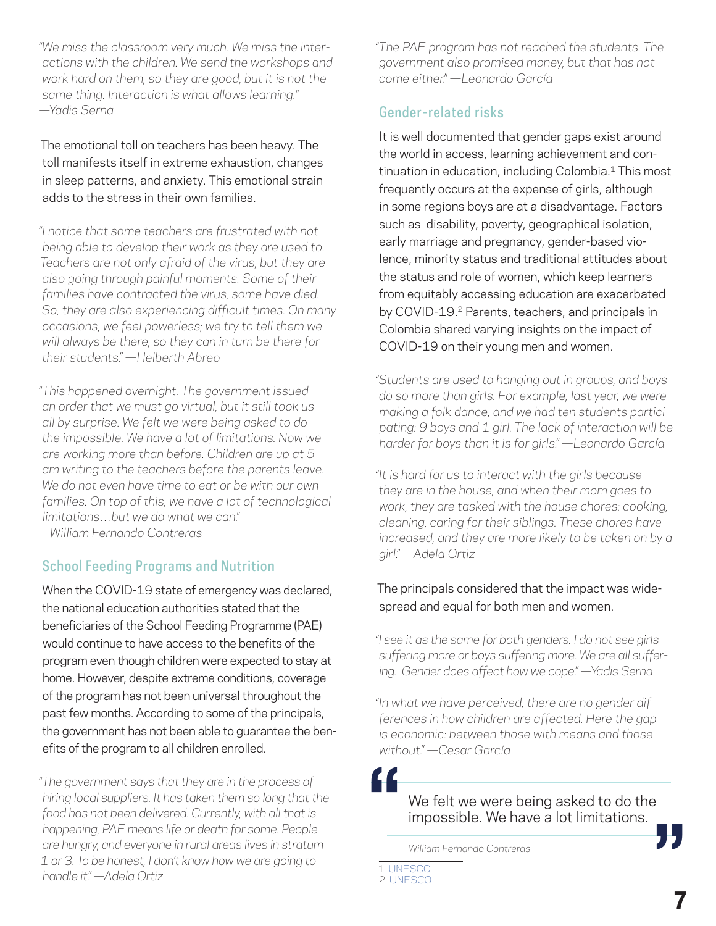*"We miss the classroom very much. We miss the interactions with the children. We send the workshops and work hard on them, so they are good, but it is not the same thing. Interaction is what allows learning." —Yadis Serna*

The emotional toll on teachers has been heavy. The toll manifests itself in extreme exhaustion, changes in sleep patterns, and anxiety. This emotional strain adds to the stress in their own families.

*"I notice that some teachers are frustrated with not being able to develop their work as they are used to. Teachers are not only afraid of the virus, but they are also going through painful moments. Some of their families have contracted the virus, some have died. So, they are also experiencing difficult times. On many occasions, we feel powerless; we try to tell them we will always be there, so they can in turn be there for their students." —Helberth Abreo*

*"This happened overnight. The government issued an order that we must go virtual, but it still took us all by surprise. We felt we were being asked to do the impossible. We have a lot of limitations. Now we are working more than before. Children are up at 5 am writing to the teachers before the parents leave. We do not even have time to eat or be with our own families. On top of this, we have a lot of technological limitations…but we do what we can." —William Fernando Contreras*

### School Feeding Programs and Nutrition

When the COVID-19 state of emergency was declared, the national education authorities stated that the beneficiaries of the School Feeding Programme (PAE) would continue to have access to the benefits of the program even though children were expected to stay at home. However, despite extreme conditions, coverage of the program has not been universal throughout the past few months. According to some of the principals, the government has not been able to guarantee the benefits of the program to all children enrolled.

*"The government says that they are in the process of hiring local suppliers. It has taken them so long that the food has not been delivered. Currently, with all that is happening, PAE means life or death for some. People are hungry, and everyone in rural areas lives in stratum 1 or 3. To be honest, I don't know how we are going to handle it." —Adela Ortiz*

*"The PAE program has not reached the students. The government also promised money, but that has not come either." —Leonardo García*

### Gender-related risks

It is well documented that gender gaps exist around the world in access, learning achievement and continuation in education, including Colombia.<sup>1</sup> This most frequently occurs at the expense of girls, although in some regions boys are at a disadvantage. Factors such as disability, poverty, geographical isolation, early marriage and pregnancy, gender-based violence, minority status and traditional attitudes about the status and role of women, which keep learners from equitably accessing education are exacerbated by COVID-19.<sup>2</sup> Parents, teachers, and principals in Colombia shared varying insights on the impact of COVID-19 on their young men and women.

*"Students are used to hanging out in groups, and boys do so more than girls. For example, last year, we were making a folk dance, and we had ten students participating: 9 boys and 1 girl. The lack of interaction will be harder for boys than it is for girls." —Leonardo García*

*"It is hard for us to interact with the girls because they are in the house, and when their mom goes to work, they are tasked with the house chores: cooking, cleaning, caring for their siblings. These chores have increased, and they are more likely to be taken on by a girl." —Adela Ortiz*

### The principals considered that the impact was widespread and equal for both men and women.

*"I see it as the same for both genders. I do not see girls suffering more or boys suffering more. We are all suffering. Gender does affect how we cope." —Yadis Serna*

*"In what we have perceived, there are no gender differences in how children are affected. Here the gap is economic: between those with means and those without." —Cesar García*

**"**

We felt we were being asked to do the<br>**impossible. We have a lot limitations.**<br>William Fernando Contreras impossible. We have a lot limitations.

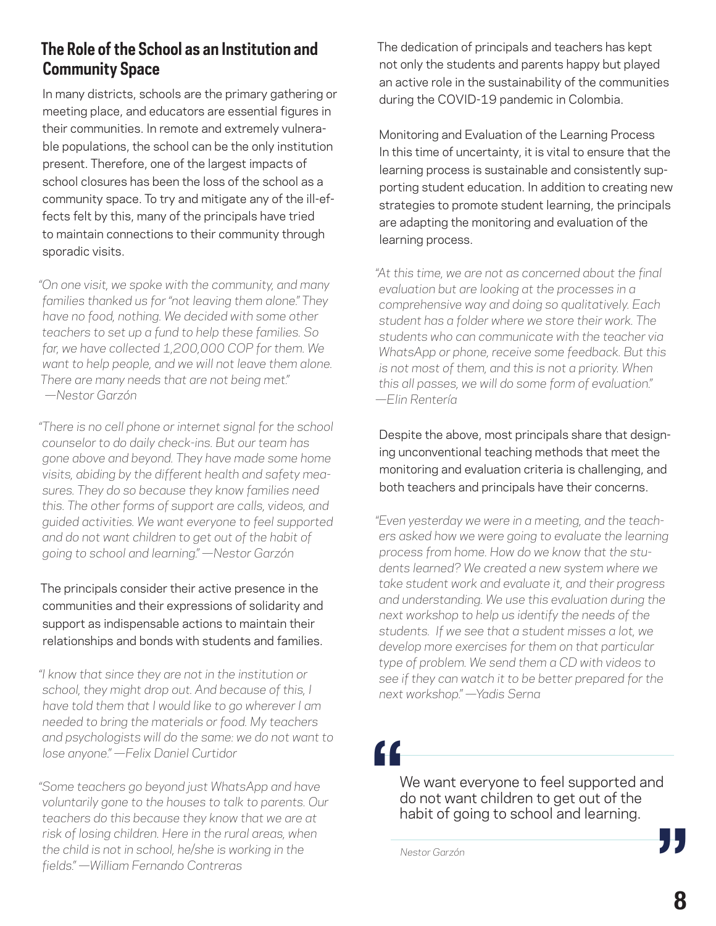# **The Role of the School as an Institution and Community Space**

In many districts, schools are the primary gathering or meeting place, and educators are essential figures in their communities. In remote and extremely vulnerable populations, the school can be the only institution present. Therefore, one of the largest impacts of school closures has been the loss of the school as a community space. To try and mitigate any of the ill-effects felt by this, many of the principals have tried to maintain connections to their community through sporadic visits.

*"On one visit, we spoke with the community, and many families thanked us for "not leaving them alone." They have no food, nothing. We decided with some other teachers to set up a fund to help these families. So far, we have collected 1,200,000 COP for them. We want to help people, and we will not leave them alone. There are many needs that are not being met." —Nestor Garzón*

*"There is no cell phone or internet signal for the school counselor to do daily check-ins. But our team has gone above and beyond. They have made some home visits, abiding by the different health and safety measures. They do so because they know families need this. The other forms of support are calls, videos, and guided activities. We want everyone to feel supported and do not want children to get out of the habit of going to school and learning." —Nestor Garzón*

The principals consider their active presence in the communities and their expressions of solidarity and support as indispensable actions to maintain their relationships and bonds with students and families.

*"I know that since they are not in the institution or school, they might drop out. And because of this, I have told them that I would like to go wherever I am needed to bring the materials or food. My teachers and psychologists will do the same: we do not want to lose anyone." —Felix Daniel Curtidor*

*"Some teachers go beyond just WhatsApp and have voluntarily gone to the houses to talk to parents. Our teachers do this because they know that we are at risk of losing children. Here in the rural areas, when the child is not in school, he/she is working in the fields." —William Fernando Contreras*

The dedication of principals and teachers has kept not only the students and parents happy but played an active role in the sustainability of the communities during the COVID-19 pandemic in Colombia.

Monitoring and Evaluation of the Learning Process In this time of uncertainty, it is vital to ensure that the learning process is sustainable and consistently supporting student education. In addition to creating new strategies to promote student learning, the principals are adapting the monitoring and evaluation of the learning process.

*"At this time, we are not as concerned about the final evaluation but are looking at the processes in a comprehensive way and doing so qualitatively. Each student has a folder where we store their work. The students who can communicate with the teacher via WhatsApp or phone, receive some feedback. But this is not most of them, and this is not a priority. When this all passes, we will do some form of evaluation." —Elin Rentería*

Despite the above, most principals share that designing unconventional teaching methods that meet the monitoring and evaluation criteria is challenging, and both teachers and principals have their concerns.

*"Even yesterday we were in a meeting, and the teachers asked how we were going to evaluate the learning process from home. How do we know that the students learned? We created a new system where we take student work and evaluate it, and their progress and understanding. We use this evaluation during the next workshop to help us identify the needs of the students. If we see that a student misses a lot, we develop more exercises for them on that particular type of problem. We send them a CD with videos to see if they can watch it to be better prepared for the next workshop." —Yadis Serna*

**"**

We want everyone to feel supported and do not want children to get out of the habit of going to school and learning. **CONFIDENTIATE:** The get out of the habit of going to school and learning.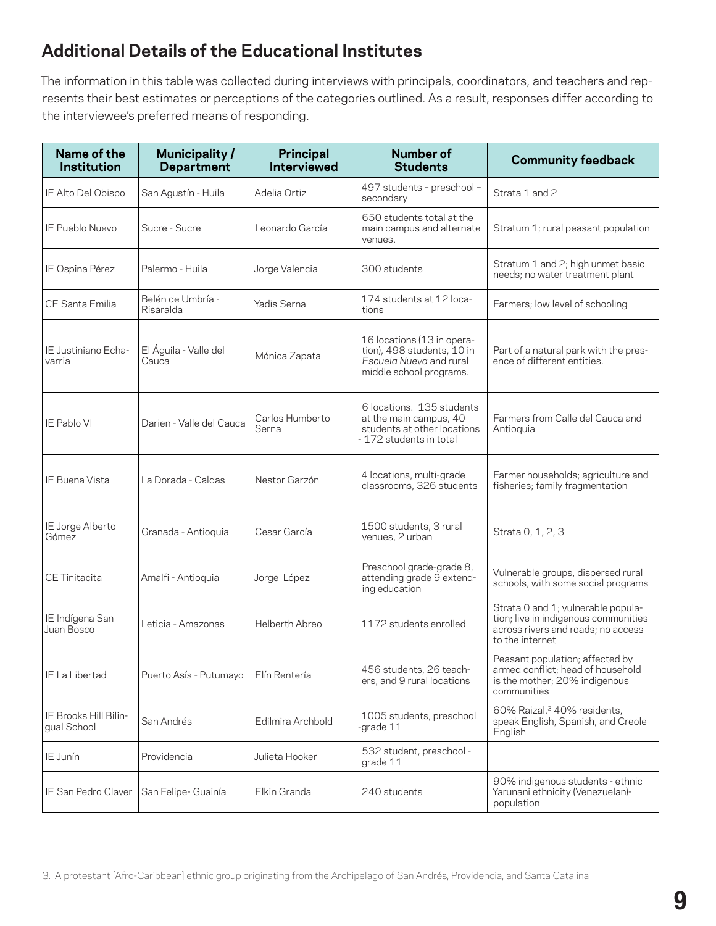# **Additional Details of the Educational Institutes**

The information in this table was collected during interviews with principals, coordinators, and teachers and represents their best estimates or perceptions of the categories outlined. As a result, responses differ according to the interviewee's preferred means of responding.

| Name of the<br>Institution           | Municipality/<br><b>Department</b> | Principal<br><b>Interviewed</b> | <b>Number of</b><br><b>Students</b>                                                                            | <b>Community feedback</b>                                                                                                           |
|--------------------------------------|------------------------------------|---------------------------------|----------------------------------------------------------------------------------------------------------------|-------------------------------------------------------------------------------------------------------------------------------------|
| IE Alto Del Obispo                   | San Agustín - Huila                | Adelia Ortiz                    | 497 students - preschool -<br>secondary                                                                        | Strata 1 and 2                                                                                                                      |
| IE Pueblo Nuevo                      | Sucre - Sucre                      | Leonardo García                 | 650 students total at the<br>main campus and alternate<br>venues.                                              | Stratum 1; rural peasant population                                                                                                 |
| IE Ospina Pérez                      | Palermo - Huila                    | Jorge Valencia                  | 300 students                                                                                                   | Stratum 1 and 2; high unmet basic<br>needs; no water treatment plant                                                                |
| <b>CE Santa Emilia</b>               | Belén de Umbría -<br>Risaralda     | Yadis Serna                     | 174 students at 12 loca-<br>tions                                                                              | Farmers; low level of schooling                                                                                                     |
| IE Justiniano Echa-<br>varria        | El Águila - Valle del<br>Cauca     | Mónica Zapata                   | 16 locations (13 in opera-<br>tion), 498 students, 10 in<br>Escuela Nueva and rural<br>middle school programs. | Part of a natural park with the pres-<br>ence of different entities.                                                                |
| IE Pablo VI                          | Darien - Valle del Cauca           | Carlos Humberto<br>Serna        | 6 locations. 135 students<br>at the main campus, 40<br>students at other locations<br>- 172 students in total  | Farmers from Calle del Cauca and<br>Antioquia                                                                                       |
| IE Buena Vista                       | La Dorada - Caldas                 | Nestor Garzón                   | 4 locations, multi-grade<br>classrooms, 326 students                                                           | Farmer households; agriculture and<br>fisheries; family fragmentation                                                               |
| IE Jorge Alberto<br>Gómez            | Granada - Antioquia                | Cesar García                    | 1500 students, 3 rural<br>venues, 2 urban                                                                      | Strata 0, 1, 2, 3                                                                                                                   |
| CE Tinitacita                        | Amalfi - Antioquia                 | Jorge López                     | Preschool grade-grade 8,<br>attending grade 9 extend-<br>ing education                                         | Vulnerable groups, dispersed rural<br>schools, with some social programs                                                            |
| IE Indígena San<br>Juan Bosco        | Leticia - Amazonas                 | Helberth Abreo                  | 1172 students enrolled                                                                                         | Strata 0 and 1; vulnerable popula-<br>tion; live in indigenous communities<br>across rivers and roads; no access<br>to the internet |
| IE La Libertad                       | Puerto Asís - Putumayo             | Elín Rentería                   | 456 students, 26 teach-<br>ers, and 9 rural locations                                                          | Peasant population; affected by<br>armed conflict; head of household<br>is the mother; 20% indigenous<br>communities                |
| IE Brooks Hill Bilin-<br>gual School | San Andrés                         | Edilmira Archbold               | 1005 students, preschool<br>-grade 11                                                                          | 60% Raizal, <sup>3</sup> 40% residents,<br>speak English, Spanish, and Creole<br>English                                            |
| IE Junín                             | Providencia                        | Julieta Hooker                  | 532 student, preschool -<br>grade 11                                                                           |                                                                                                                                     |
| IE San Pedro Claver                  | San Felipe- Guainía                | Elkin Granda                    | 240 students                                                                                                   | 90% indigenous students - ethnic<br>Yarunani ethnicity (Venezuelan)-<br>population                                                  |